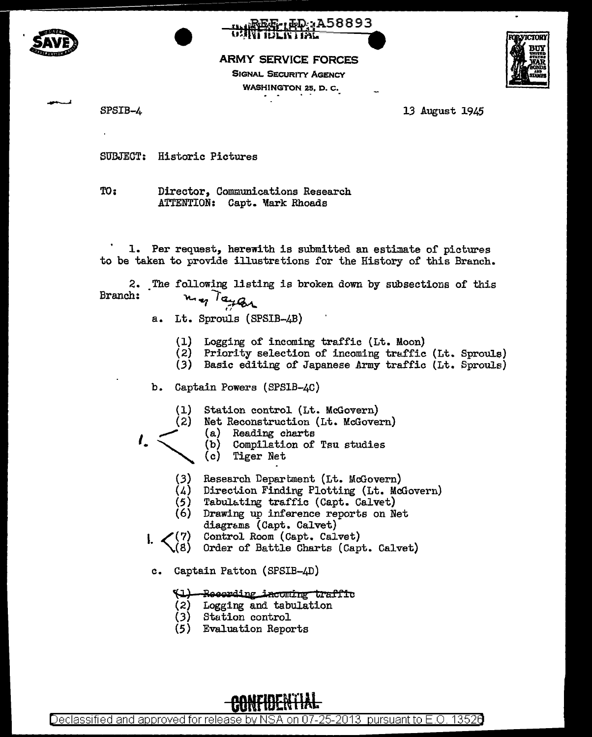



ARMY SERVICE FORCES

SIGNAL SECURITY AGENCY WASHINGTON 25, D. c.



SPSIB-4 13 August 1945

SUBJECT: Historic Pictures

TO: Director, Communications Research ATTENTION: Capt. Mark Rhoads

1. Per request, herewith is submitted an estimate of pictures to be taken to provide illustretions for the History of this Branch.

2. The following listing is broken down by subsections of this Branch:  $m_{eq}$  Taylor

- a. Lt. Sprouls (SPSIB-4B)
	- (1) Logging of incoming traffic (Lt. Moon)
	- (2) Priority selection of incoming traffic (Lt. Sproule)
	- (3) Basic editing of Japanese Army traffic (Lt. Sprouls)
- b. Captain Powers (SPS1B-4C)
	- (1) Station control (Lt. McGovern)
	- (2) Net Reconstruction (Lt. McGovern)
- ,,,,,, '·"' (.3) (a) Reading charts
	- (b) Compilation of Tsu studies
	- Tiger Net
	- Research Department (Lt. McGovern)
	- (4) Direction Finding Plotting (Lt. McGovern)
	- (5) Tabulating traffic (Capt. Calvet)
	- (6) Drawing up inference reports on Net diagrams (Capt. Calvet)
- $I. < {7 \choose 2}$ Control Room (Capt. Calvet)
- . (8) Order of Battle Charts (Capt. Calvet)
- c. Captain Patton (SPSIB-4D)

## (1) - Recording incoming traffic<br>(2) Logging and tabulation

- Logging and tabulation
- (3) Station control
- (5) Evaluation Reports

**CUNFIDENTIAL** 

Declassified and approved for release by NSA on 07-25-2013 pursuantto E .0. 1352a